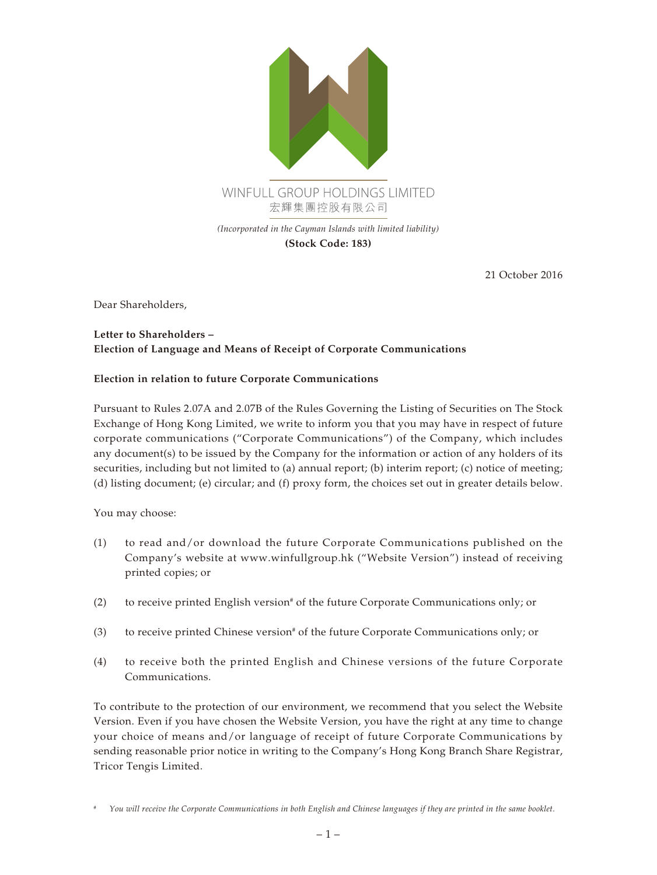

21 October 2016

Dear Shareholders,

## **Letter to Shareholders – Election of Language and Means of Receipt of Corporate Communications**

## **Election in relation to future Corporate Communications**

Pursuant to Rules 2.07A and 2.07B of the Rules Governing the Listing of Securities on The Stock Exchange of Hong Kong Limited, we write to inform you that you may have in respect of future corporate communications ("Corporate Communications") of the Company, which includes any document(s) to be issued by the Company for the information or action of any holders of its securities, including but not limited to (a) annual report; (b) interim report; (c) notice of meeting; (d) listing document; (e) circular; and (f) proxy form, the choices set out in greater details below.

You may choose:

- (1) to read and/or download the future Corporate Communications published on the Company's website at <www.winfullgroup.hk>("Website Version") instead of receiving printed copies; or
- (2) to receive printed English version<sup>#</sup> of the future Corporate Communications only; or
- (3) to receive printed Chinese version<sup>#</sup> of the future Corporate Communications only; or
- (4) to receive both the printed English and Chinese versions of the future Corporate Communications.

To contribute to the protection of our environment, we recommend that you select the Website Version. Even if you have chosen the Website Version, you have the right at any time to change your choice of means and/or language of receipt of future Corporate Communications by sending reasonable prior notice in writing to the Company's Hong Kong Branch Share Registrar, Tricor Tengis Limited.

*<sup>#</sup> You will receive the Corporate Communications in both English and Chinese languages if they are printed in the same booklet.*